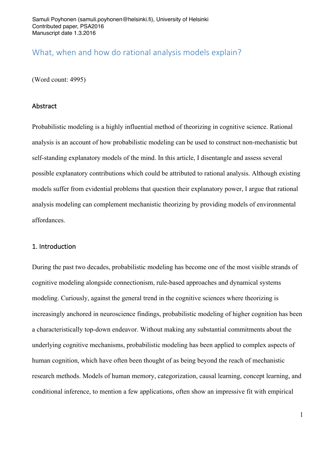# What, when and how do rational analysis models explain?

(Word count: 4995)

## Abstract

Probabilistic modeling is a highly influential method of theorizing in cognitive science. Rational analysis is an account of how probabilistic modeling can be used to construct non-mechanistic but self-standing explanatory models of the mind. In this article, I disentangle and assess several possible explanatory contributions which could be attributed to rational analysis. Although existing models suffer from evidential problems that question their explanatory power, I argue that rational analysis modeling can complement mechanistic theorizing by providing models of environmental affordances.

## 1. Introduction

During the past two decades, probabilistic modeling has become one of the most visible strands of cognitive modeling alongside connectionism, rule-based approaches and dynamical systems modeling. Curiously, against the general trend in the cognitive sciences where theorizing is increasingly anchored in neuroscience findings, probabilistic modeling of higher cognition has been a characteristically top-down endeavor. Without making any substantial commitments about the underlying cognitive mechanisms, probabilistic modeling has been applied to complex aspects of human cognition, which have often been thought of as being beyond the reach of mechanistic research methods. Models of human memory, categorization, causal learning, concept learning, and conditional inference, to mention a few applications, often show an impressive fit with empirical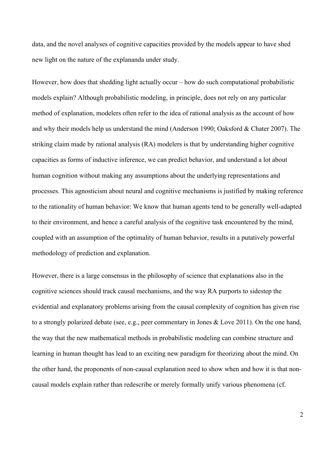data, and the novel analyses of cognitive capacities provided by the models appear to have shed new light on the nature of the explananda under study.

However, how does that shedding light actually occur – how do such computational probabilistic models explain? Although probabilistic modeling, in principle, does not rely on any particular method of explanation, modelers often refer to the idea of rational analysis as the account of how and why their models help us understand the mind (Anderson 1990; Oaksford & Chater 2007). The striking claim made by rational analysis (RA) modelers is that by understanding higher cognitive capacities as forms of inductive inference, we can predict behavior, and understand a lot about human cognition without making any assumptions about the underlying representations and processes. This agnosticism about neural and cognitive mechanisms is justified by making reference to the rationality of human behavior: We know that human agents tend to be generally well-adapted to their environment, and hence a careful analysis of the cognitive task encountered by the mind, coupled with an assumption of the optimality of human behavior, results in a putatively powerful methodology of prediction and explanation.

However, there is a large consensus in the philosophy of science that explanations also in the cognitive sciences should track causal mechanisms, and the way RA purports to sidestep the evidential and explanatory problems arising from the causal complexity of cognition has given rise to a strongly polarized debate (see, e.g., peer commentary in Jones & Love 2011). On the one hand, the way that the new mathematical methods in probabilistic modeling can combine structure and learning in human thought has lead to an exciting new paradigm for theorizing about the mind. On the other hand, the proponents of non-causal explanation need to show when and how it is that noncausal models explain rather than redescribe or merely formally unify various phenomena (cf.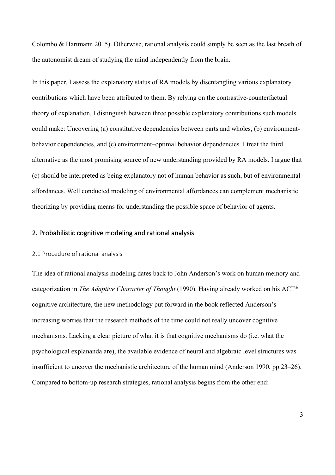Colombo & Hartmann 2015). Otherwise, rational analysis could simply be seen as the last breath of the autonomist dream of studying the mind independently from the brain.

In this paper, I assess the explanatory status of RA models by disentangling various explanatory contributions which have been attributed to them. By relying on the contrastive-counterfactual theory of explanation, I distinguish between three possible explanatory contributions such models could make: Uncovering (a) constitutive dependencies between parts and wholes, (b) environmentbehavior dependencies, and (c) environment–optimal behavior dependencies. I treat the third alternative as the most promising source of new understanding provided by RA models. I argue that (c) should be interpreted as being explanatory not of human behavior as such, but of environmental affordances. Well conducted modeling of environmental affordances can complement mechanistic theorizing by providing means for understanding the possible space of behavior of agents.

# 2. Probabilistic cognitive modeling and rational analysis

### 2.1 Procedure of rational analysis

The idea of rational analysis modeling dates back to John Anderson's work on human memory and categorization in *The Adaptive Character of Thought* (1990). Having already worked on his ACT\* cognitive architecture, the new methodology put forward in the book reflected Anderson's increasing worries that the research methods of the time could not really uncover cognitive mechanisms. Lacking a clear picture of what it is that cognitive mechanisms do (i.e. what the psychological explananda are), the available evidence of neural and algebraic level structures was insufficient to uncover the mechanistic architecture of the human mind (Anderson 1990, pp.23–26). Compared to bottom-up research strategies, rational analysis begins from the other end: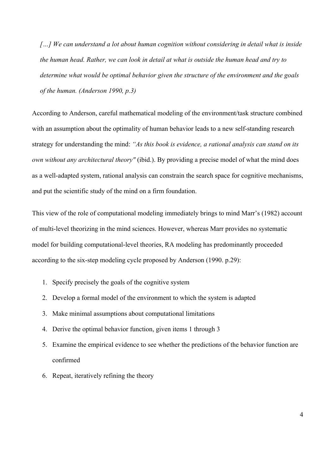*[…] We can understand a lot about human cognition without considering in detail what is inside the human head. Rather, we can look in detail at what is outside the human head and try to determine what would be optimal behavior given the structure of the environment and the goals of the human. (Anderson 1990, p.3)*

According to Anderson, careful mathematical modeling of the environment/task structure combined with an assumption about the optimality of human behavior leads to a new self-standing research strategy for understanding the mind: *"As this book is evidence, a rational analysis can stand on its own without any architectural theory"* (ibid.). By providing a precise model of what the mind does as a well-adapted system, rational analysis can constrain the search space for cognitive mechanisms, and put the scientific study of the mind on a firm foundation.

This view of the role of computational modeling immediately brings to mind Marr's (1982) account of multi-level theorizing in the mind sciences. However, whereas Marr provides no systematic model for building computational-level theories, RA modeling has predominantly proceeded according to the six-step modeling cycle proposed by Anderson (1990. p.29):

- 1. Specify precisely the goals of the cognitive system
- 2. Develop a formal model of the environment to which the system is adapted
- 3. Make minimal assumptions about computational limitations
- 4. Derive the optimal behavior function, given items 1 through 3
- 5. Examine the empirical evidence to see whether the predictions of the behavior function are confirmed
- 6. Repeat, iteratively refining the theory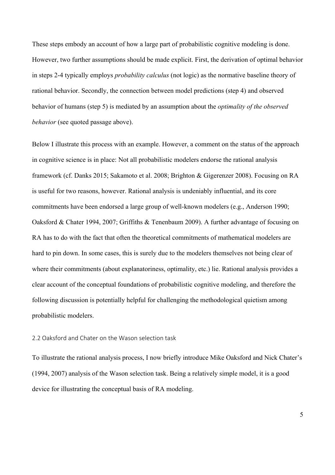These steps embody an account of how a large part of probabilistic cognitive modeling is done. However, two further assumptions should be made explicit. First, the derivation of optimal behavior in steps 2-4 typically employs *probability calculus* (not logic) as the normative baseline theory of rational behavior. Secondly, the connection between model predictions (step 4) and observed behavior of humans (step 5) is mediated by an assumption about the *optimality of the observed behavior* (see quoted passage above).

Below I illustrate this process with an example. However, a comment on the status of the approach in cognitive science is in place: Not all probabilistic modelers endorse the rational analysis framework (cf. Danks 2015; Sakamoto et al. 2008; Brighton & Gigerenzer 2008). Focusing on RA is useful for two reasons, however. Rational analysis is undeniably influential, and its core commitments have been endorsed a large group of well-known modelers (e.g., Anderson 1990; Oaksford & Chater 1994, 2007; Griffiths & Tenenbaum 2009). A further advantage of focusing on RA has to do with the fact that often the theoretical commitments of mathematical modelers are hard to pin down. In some cases, this is surely due to the modelers themselves not being clear of where their commitments (about explanatoriness, optimality, etc.) lie. Rational analysis provides a clear account of the conceptual foundations of probabilistic cognitive modeling, and therefore the following discussion is potentially helpful for challenging the methodological quietism among probabilistic modelers.

### 2.2 Oaksford and Chater on the Wason selection task

To illustrate the rational analysis process, I now briefly introduce Mike Oaksford and Nick Chater's (1994, 2007) analysis of the Wason selection task. Being a relatively simple model, it is a good device for illustrating the conceptual basis of RA modeling.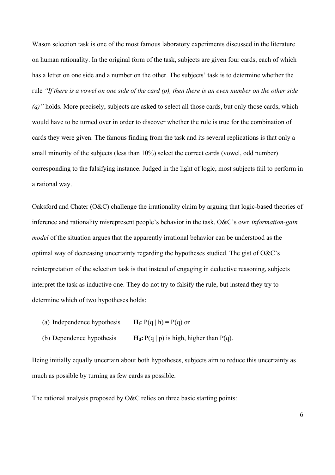Wason selection task is one of the most famous laboratory experiments discussed in the literature on human rationality. In the original form of the task, subjects are given four cards, each of which has a letter on one side and a number on the other. The subjects' task is to determine whether the rule *"If there is a vowel on one side of the card (p), then there is an even number on the other side (q)"* holds. More precisely, subjects are asked to select all those cards, but only those cards, which would have to be turned over in order to discover whether the rule is true for the combination of cards they were given. The famous finding from the task and its several replications is that only a small minority of the subjects (less than 10%) select the correct cards (vowel, odd number) corresponding to the falsifying instance. Judged in the light of logic, most subjects fail to perform in a rational way.

Oaksford and Chater (O&C) challenge the irrationality claim by arguing that logic-based theories of inference and rationality misrepresent people's behavior in the task. O&C's own *information-gain model* of the situation argues that the apparently irrational behavior can be understood as the optimal way of decreasing uncertainty regarding the hypotheses studied. The gist of O&C's reinterpretation of the selection task is that instead of engaging in deductive reasoning, subjects interpret the task as inductive one. They do not try to falsify the rule, but instead they try to determine which of two hypotheses holds:

- (a) Independence hypothesis  $H_i: P(q | h) = P(q)$  or
- (b) Dependence hypothesis  $H_d$ :  $P(q | p)$  is high, higher than  $P(q)$ .

Being initially equally uncertain about both hypotheses, subjects aim to reduce this uncertainty as much as possible by turning as few cards as possible.

The rational analysis proposed by O&C relies on three basic starting points: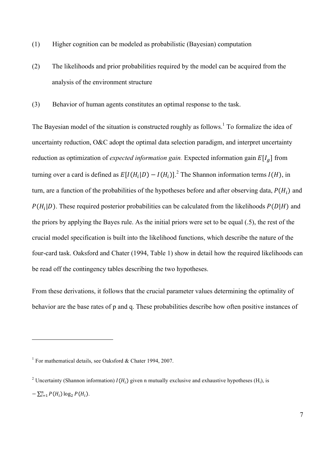- (1) Higher cognition can be modeled as probabilistic (Bayesian) computation
- (2) The likelihoods and prior probabilities required by the model can be acquired from the analysis of the environment structure
- (3) Behavior of human agents constitutes an optimal response to the task.

The Bayesian model of the situation is constructed roughly as follows.<sup>1</sup> To formalize the idea of uncertainty reduction, O&C adopt the optimal data selection paradigm, and interpret uncertainty reduction as optimization of *expected information gain*. Expected information gain  $E[I_q]$  from turning over a card is defined as  $E[I(H_i|D) - I(H_i)]^2$ . The Shannon information terms  $I(H)$ , in turn, are a function of the probabilities of the hypotheses before and after observing data,  $P(H_i)$  and  $P(H_i|D)$ . These required posterior probabilities can be calculated from the likelihoods  $P(D|H)$  and the priors by applying the Bayes rule. As the initial priors were set to be equal (.5), the rest of the crucial model specification is built into the likelihood functions, which describe the nature of the four-card task. Oaksford and Chater (1994, Table 1) show in detail how the required likelihoods can be read off the contingency tables describing the two hypotheses.

From these derivations, it follows that the crucial parameter values determining the optimality of behavior are the base rates of p and q. These probabilities describe how often positive instances of

<sup>&</sup>lt;sup>1</sup> For mathematical details, see Oaksford & Chater 1994, 2007.

<sup>&</sup>lt;sup>2</sup> Uncertainty (Shannon information)  $I(H_i)$  given n mutually exclusive and exhaustive hypotheses (H<sub>i</sub>), is  $-\sum_{i=1}^{n} P(H_i) \log_2 P(H_i)$ .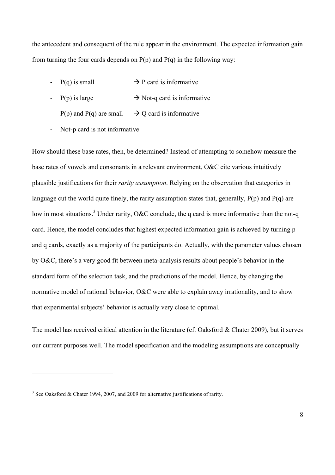the antecedent and consequent of the rule appear in the environment. The expected information gain from turning the four cards depends on  $P(p)$  and  $P(q)$  in the following way:

- $P(q)$  is small  $\rightarrow$  P card is informative
- $P(p)$  is large  $\rightarrow$  Not-q card is informative
- P(p) and P(q) are small  $\rightarrow$  Q card is informative
- Not-p card is not informative

How should these base rates, then, be determined? Instead of attempting to somehow measure the base rates of vowels and consonants in a relevant environment, O&C cite various intuitively plausible justifications for their *rarity assumption*. Relying on the observation that categories in language cut the world quite finely, the rarity assumption states that, generally,  $P(p)$  and  $P(q)$  are low in most situations.<sup>3</sup> Under rarity, O&C conclude, the q card is more informative than the not-q card. Hence, the model concludes that highest expected information gain is achieved by turning p and q cards, exactly as a majority of the participants do. Actually, with the parameter values chosen by O&C, there's a very good fit between meta-analysis results about people's behavior in the standard form of the selection task, and the predictions of the model. Hence, by changing the normative model of rational behavior, O&C were able to explain away irrationality, and to show that experimental subjects' behavior is actually very close to optimal.

The model has received critical attention in the literature (cf. Oaksford & Chater 2009), but it serves our current purposes well. The model specification and the modeling assumptions are conceptually

<sup>&</sup>lt;sup>3</sup> See Oaksford & Chater 1994, 2007, and 2009 for alternative justifications of rarity.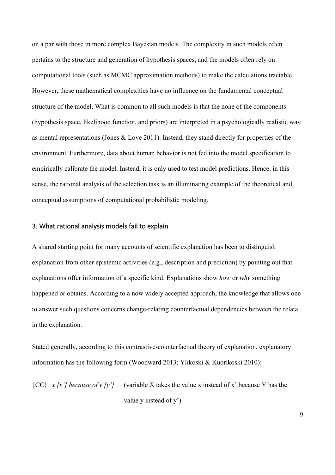on a par with those in more complex Bayesian models. The complexity in such models often pertains to the structure and generation of hypothesis spaces, and the models often rely on computational tools (such as MCMC approximation methods) to make the calculations tractable. However, these mathematical complexities have no influence on the fundamental conceptual structure of the model. What is common to all such models is that the none of the components (hypothesis space, likelihood function, and priors) are interpreted in a psychologically realistic way as mental representations (Jones & Love 2011). Instead, they stand directly for properties of the environment. Furthermore, data about human behavior is not fed into the model specification to empirically calibrate the model. Instead, it is only used to test model predictions. Hence, in this sense, the rational analysis of the selection task is an illuminating example of the theoretical and conceptual assumptions of computational probabilistic modeling.

# 3. What rational analysis models fail to explain

A shared starting point for many accounts of scientific explanation has been to distinguish explanation from other epistemic activities (e.g., description and prediction) by pointing out that explanations offer information of a specific kind. Explanations show *how* or *why* something happened or obtains. According to a now widely accepted approach, the knowledge that allows one to answer such questions concerns change-relating counterfactual dependencies between the relata in the explanation.

Stated generally, according to this contrastive-counterfactual theory of explanation, explanatory information has the following form (Woodward 2013; Ylikoski & Kuorikoski 2010):

 ${CC}$  *x [x'] because of y [y']* (variable X takes the value x instead of x' because Y has the value y instead of y')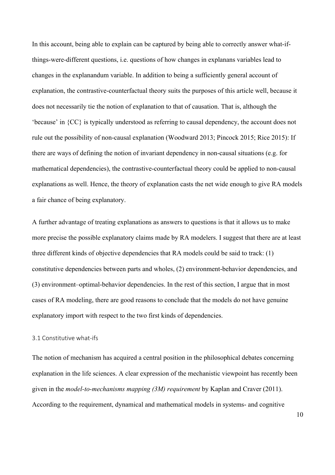In this account, being able to explain can be captured by being able to correctly answer what-ifthings-were-different questions, i.e. questions of how changes in explanans variables lead to changes in the explanandum variable. In addition to being a sufficiently general account of explanation, the contrastive-counterfactual theory suits the purposes of this article well, because it does not necessarily tie the notion of explanation to that of causation. That is, although the 'because' in {CC} is typically understood as referring to causal dependency, the account does not rule out the possibility of non-causal explanation (Woodward 2013; Pincock 2015; Rice 2015): If there are ways of defining the notion of invariant dependency in non-causal situations (e.g. for mathematical dependencies), the contrastive-counterfactual theory could be applied to non-causal explanations as well. Hence, the theory of explanation casts the net wide enough to give RA models a fair chance of being explanatory.

A further advantage of treating explanations as answers to questions is that it allows us to make more precise the possible explanatory claims made by RA modelers. I suggest that there are at least three different kinds of objective dependencies that RA models could be said to track: (1) constitutive dependencies between parts and wholes, (2) environment-behavior dependencies, and (3) environment–optimal-behavior dependencies. In the rest of this section, I argue that in most cases of RA modeling, there are good reasons to conclude that the models do not have genuine explanatory import with respect to the two first kinds of dependencies.

### 3.1 Constitutive what-ifs

The notion of mechanism has acquired a central position in the philosophical debates concerning explanation in the life sciences. A clear expression of the mechanistic viewpoint has recently been given in the *model-to-mechanisms mapping (3M) requirement* by Kaplan and Craver (2011). According to the requirement, dynamical and mathematical models in systems- and cognitive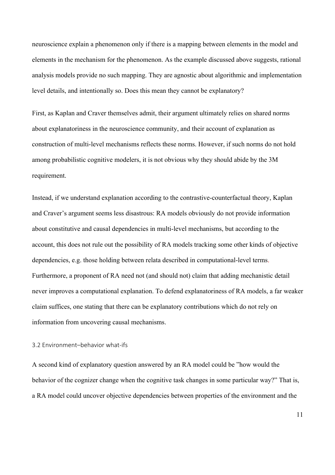neuroscience explain a phenomenon only if there is a mapping between elements in the model and elements in the mechanism for the phenomenon. As the example discussed above suggests, rational analysis models provide no such mapping. They are agnostic about algorithmic and implementation level details, and intentionally so. Does this mean they cannot be explanatory?

First, as Kaplan and Craver themselves admit, their argument ultimately relies on shared norms about explanatoriness in the neuroscience community, and their account of explanation as construction of multi-level mechanisms reflects these norms. However, if such norms do not hold among probabilistic cognitive modelers, it is not obvious why they should abide by the 3M requirement.

Instead, if we understand explanation according to the contrastive-counterfactual theory, Kaplan and Craver's argument seems less disastrous: RA models obviously do not provide information about constitutive and causal dependencies in multi-level mechanisms, but according to the account, this does not rule out the possibility of RA models tracking some other kinds of objective dependencies, e.g. those holding between relata described in computational-level terms. Furthermore, a proponent of RA need not (and should not) claim that adding mechanistic detail never improves a computational explanation. To defend explanatoriness of RA models, a far weaker claim suffices, one stating that there can be explanatory contributions which do not rely on information from uncovering causal mechanisms.

# 3.2 Environment-behavior what-ifs

A second kind of explanatory question answered by an RA model could be "how would the behavior of the cognizer change when the cognitive task changes in some particular way?" That is, a RA model could uncover objective dependencies between properties of the environment and the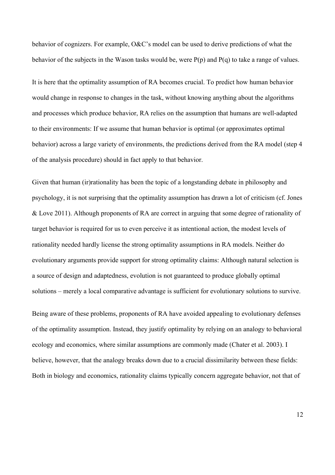behavior of cognizers. For example, O&C's model can be used to derive predictions of what the behavior of the subjects in the Wason tasks would be, were P(p) and P(q) to take a range of values.

It is here that the optimality assumption of RA becomes crucial. To predict how human behavior would change in response to changes in the task, without knowing anything about the algorithms and processes which produce behavior, RA relies on the assumption that humans are well-adapted to their environments: If we assume that human behavior is optimal (or approximates optimal behavior) across a large variety of environments, the predictions derived from the RA model (step 4 of the analysis procedure) should in fact apply to that behavior.

Given that human (ir)rationality has been the topic of a longstanding debate in philosophy and psychology, it is not surprising that the optimality assumption has drawn a lot of criticism (cf. Jones & Love 2011). Although proponents of RA are correct in arguing that some degree of rationality of target behavior is required for us to even perceive it as intentional action, the modest levels of rationality needed hardly license the strong optimality assumptions in RA models. Neither do evolutionary arguments provide support for strong optimality claims: Although natural selection is a source of design and adaptedness, evolution is not guaranteed to produce globally optimal solutions – merely a local comparative advantage is sufficient for evolutionary solutions to survive.

Being aware of these problems, proponents of RA have avoided appealing to evolutionary defenses of the optimality assumption. Instead, they justify optimality by relying on an analogy to behavioral ecology and economics, where similar assumptions are commonly made (Chater et al. 2003). I believe, however, that the analogy breaks down due to a crucial dissimilarity between these fields: Both in biology and economics, rationality claims typically concern aggregate behavior, not that of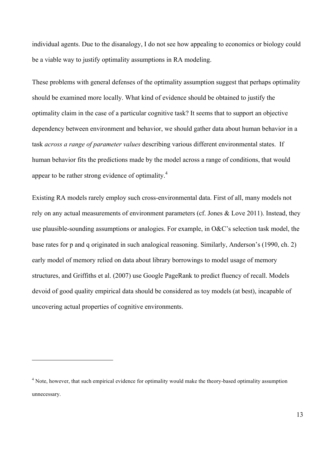individual agents. Due to the disanalogy, I do not see how appealing to economics or biology could be a viable way to justify optimality assumptions in RA modeling.

These problems with general defenses of the optimality assumption suggest that perhaps optimality should be examined more locally. What kind of evidence should be obtained to justify the optimality claim in the case of a particular cognitive task? It seems that to support an objective dependency between environment and behavior, we should gather data about human behavior in a task *across a range of parameter values* describing various different environmental states. If human behavior fits the predictions made by the model across a range of conditions, that would appear to be rather strong evidence of optimality.<sup>4</sup>

Existing RA models rarely employ such cross-environmental data. First of all, many models not rely on any actual measurements of environment parameters (cf. Jones & Love 2011). Instead, they use plausible-sounding assumptions or analogies. For example, in O&C's selection task model, the base rates for p and q originated in such analogical reasoning. Similarly, Anderson's (1990, ch. 2) early model of memory relied on data about library borrowings to model usage of memory structures, and Griffiths et al. (2007) use Google PageRank to predict fluency of recall. Models devoid of good quality empirical data should be considered as toy models (at best), incapable of uncovering actual properties of cognitive environments.

<sup>&</sup>lt;sup>4</sup> Note, however, that such empirical evidence for optimality would make the theory-based optimality assumption unnecessary.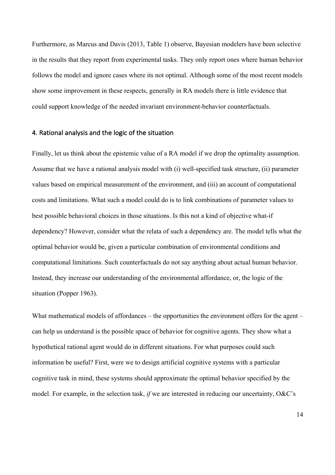Furthermore, as Marcus and Davis (2013, Table 1) observe, Bayesian modelers have been selective in the results that they report from experimental tasks. They only report ones where human behavior follows the model and ignore cases where its not optimal. Although some of the most recent models show some improvement in these respects, generally in RA models there is little evidence that could support knowledge of the needed invariant environment-behavior counterfactuals.

## 4. Rational analysis and the logic of the situation

Finally, let us think about the epistemic value of a RA model if we drop the optimality assumption. Assume that we have a rational analysis model with (i) well-specified task structure, (ii) parameter values based on empirical measurement of the environment, and (iii) an account of computational costs and limitations. What such a model could do is to link combinations of parameter values to best possible behavioral choices in those situations. Is this not a kind of objective what-if dependency? However, consider what the relata of such a dependency are. The model tells what the optimal behavior would be, given a particular combination of environmental conditions and computational limitations. Such counterfactuals do not say anything about actual human behavior. Instead, they increase our understanding of the environmental affordance, or, the logic of the situation (Popper 1963).

What mathematical models of affordances – the opportunities the environment offers for the agent – can help us understand is the possible space of behavior for cognitive agents. They show what a hypothetical rational agent would do in different situations. For what purposes could such information be useful? First, were we to design artificial cognitive systems with a particular cognitive task in mind, these systems should approximate the optimal behavior specified by the model. For example, in the selection task, *if* we are interested in reducing our uncertainty, O&C's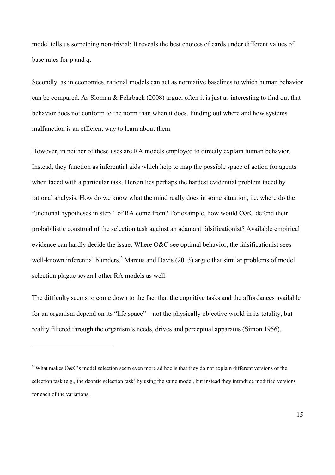model tells us something non-trivial: It reveals the best choices of cards under different values of base rates for p and q.

Secondly, as in economics, rational models can act as normative baselines to which human behavior can be compared. As Sloman & Fehrbach (2008) argue, often it is just as interesting to find out that behavior does not conform to the norm than when it does. Finding out where and how systems malfunction is an efficient way to learn about them.

However, in neither of these uses are RA models employed to directly explain human behavior. Instead, they function as inferential aids which help to map the possible space of action for agents when faced with a particular task. Herein lies perhaps the hardest evidential problem faced by rational analysis. How do we know what the mind really does in some situation, i.e. where do the functional hypotheses in step 1 of RA come from? For example, how would O&C defend their probabilistic construal of the selection task against an adamant falsificationist? Available empirical evidence can hardly decide the issue: Where O&C see optimal behavior, the falsificationist sees well-known inferential blunders.<sup>5</sup> Marcus and Davis (2013) argue that similar problems of model selection plague several other RA models as well.

The difficulty seems to come down to the fact that the cognitive tasks and the affordances available for an organism depend on its "life space" – not the physically objective world in its totality, but reality filtered through the organism's needs, drives and perceptual apparatus (Simon 1956).

 $5$  What makes O&C's model selection seem even more ad hoc is that they do not explain different versions of the selection task (e.g., the deontic selection task) by using the same model, but instead they introduce modified versions for each of the variations.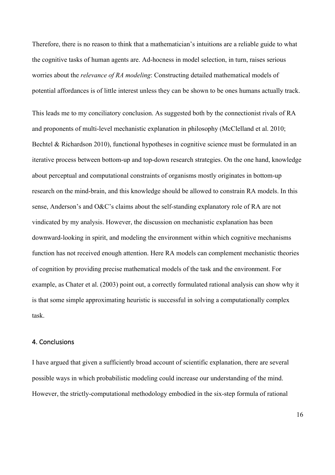Therefore, there is no reason to think that a mathematician's intuitions are a reliable guide to what the cognitive tasks of human agents are. Ad-hocness in model selection, in turn, raises serious worries about the *relevance of RA modeling*: Constructing detailed mathematical models of potential affordances is of little interest unless they can be shown to be ones humans actually track.

This leads me to my conciliatory conclusion. As suggested both by the connectionist rivals of RA and proponents of multi-level mechanistic explanation in philosophy (McClelland et al. 2010; Bechtel & Richardson 2010), functional hypotheses in cognitive science must be formulated in an iterative process between bottom-up and top-down research strategies. On the one hand, knowledge about perceptual and computational constraints of organisms mostly originates in bottom-up research on the mind-brain, and this knowledge should be allowed to constrain RA models. In this sense, Anderson's and O&C's claims about the self-standing explanatory role of RA are not vindicated by my analysis. However, the discussion on mechanistic explanation has been downward-looking in spirit, and modeling the environment within which cognitive mechanisms function has not received enough attention. Here RA models can complement mechanistic theories of cognition by providing precise mathematical models of the task and the environment. For example, as Chater et al. (2003) point out, a correctly formulated rational analysis can show why it is that some simple approximating heuristic is successful in solving a computationally complex task.

#### 4. Conclusions

I have argued that given a sufficiently broad account of scientific explanation, there are several possible ways in which probabilistic modeling could increase our understanding of the mind. However, the strictly-computational methodology embodied in the six-step formula of rational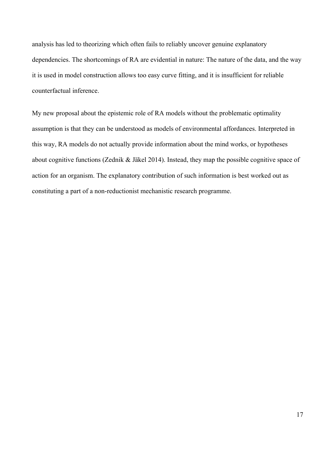analysis has led to theorizing which often fails to reliably uncover genuine explanatory dependencies. The shortcomings of RA are evidential in nature: The nature of the data, and the way it is used in model construction allows too easy curve fitting, and it is insufficient for reliable counterfactual inference.

My new proposal about the epistemic role of RA models without the problematic optimality assumption is that they can be understood as models of environmental affordances. Interpreted in this way, RA models do not actually provide information about the mind works, or hypotheses about cognitive functions (Zednik & Jäkel 2014). Instead, they map the possible cognitive space of action for an organism. The explanatory contribution of such information is best worked out as constituting a part of a non-reductionist mechanistic research programme.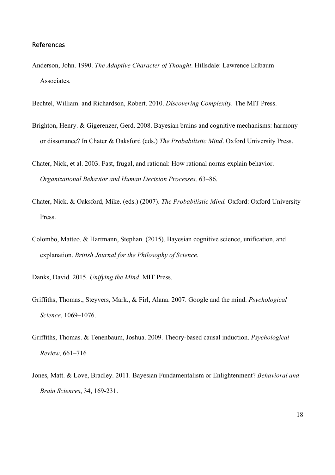## References

- Anderson, John. 1990. *The Adaptive Character of Thought*. Hillsdale: Lawrence Erlbaum Associates.
- Bechtel, William. and Richardson, Robert. 2010. *Discovering Complexity.* The MIT Press.
- Brighton, Henry. & Gigerenzer, Gerd. 2008. Bayesian brains and cognitive mechanisms: harmony or dissonance? In Chater & Oaksford (eds.) *The Probabilistic Mind*. Oxford University Press.
- Chater, Nick, et al. 2003. Fast, frugal, and rational: How rational norms explain behavior. *Organizational Behavior and Human Decision Processes,* 63–86.
- Chater, Nick. & Oaksford, Mike. (eds.) (2007). *The Probabilistic Mind.* Oxford: Oxford University Press.
- Colombo, Matteo. & Hartmann, Stephan. (2015). Bayesian cognitive science, unification, and explanation. *British Journal for the Philosophy of Science.*
- Danks, David. 2015. *Unifying the Mind*. MIT Press.
- Griffiths, Thomas., Steyvers, Mark., & Firl, Alana. 2007. Google and the mind. *Psychological Science*, 1069–1076.
- Griffiths, Thomas. & Tenenbaum, Joshua. 2009. Theory-based causal induction. *Psychological Review*, 661–716
- Jones, Matt. & Love, Bradley. 2011. Bayesian Fundamentalism or Enlightenment? *Behavioral and Brain Sciences*, 34, 169-231.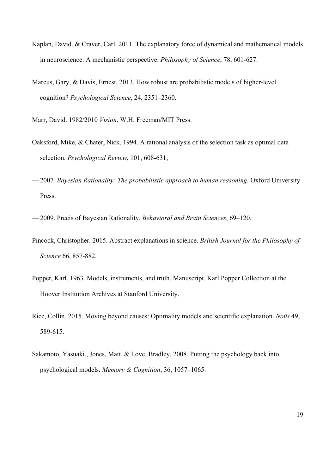- Kaplan, David. & Craver, Carl. 2011. The explanatory force of dynamical and mathematical models in neuroscience: A mechanistic perspective. *Philosophy of Science*, 78, 601-627.
- Marcus, Gary, & Davis, Ernest. 2013. How robust are probabilistic models of higher-level cognition? *Psychological Science*, 24, 2351–2360.

Marr, David. 1982/2010 *Vision*. W.H. Freeman/MIT Press.

- Oaksford, Mike, & Chater, Nick. 1994. A rational analysis of the selection task as optimal data selection. *Psychological Review*, 101, 608-631,
- –– 2007*. Bayesian Rationality: The probabilistic approach to human reasoning*. Oxford University Press.
- –– 2009. Precis of Bayesian Rationality*. Behavioral and Brain Sciences*, 69–120.
- Pincock, Christopher. 2015. Abstract explanations in science. *British Journal for the Philosophy of Science* 66, 857-882.
- Popper, Karl. 1963. Models, instruments, and truth. Manuscript. Karl Popper Collection at the Hoover Institution Archives at Stanford University.
- Rice, Collin. 2015. Moving beyond causes: Optimality models and scientific explanation. *Noûs* 49, 589-615.
- Sakamoto, Yasuaki., Jones, Matt. & Love, Bradley. 2008. Putting the psychology back into psychological models**.** *Memory & Cognition*, 36, 1057–1065.